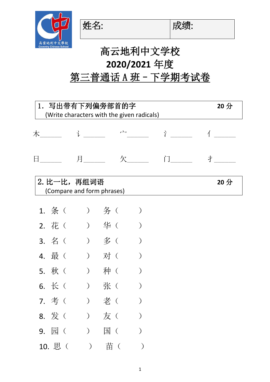

姓名: |成绩:

## 高云地利中文学校 **2020/2021** 年度 第三普通话 A 班 - 下学期考试卷

| 1. 写出带有下列偏旁部首的字<br>(Write characters with the given radicals) |                   |                                           |               |                      |        |                 |
|---------------------------------------------------------------|-------------------|-------------------------------------------|---------------|----------------------|--------|-----------------|
|                                                               | 木 $\qquad \qquad$ |                                           |               | $\overrightarrow{a}$ | Ŷ      |                 |
| $\boxminus$                                                   |                   |                                           |               | 欠                    | $\int$ | 才               |
|                                                               |                   | 2. 比一比,再组词语<br>(Compare and form phrases) |               |                      |        | 20 <sup>分</sup> |
|                                                               | 1. 条(             | こうりつ 务 (                                  |               |                      |        |                 |
|                                                               | 2. 花(             |                                           | ) 华(          |                      |        |                 |
|                                                               | 3. 名(             |                                           | ) 多(          |                      |        |                 |
|                                                               | 4. 最 (            | ) 对(                                      |               |                      |        |                 |
|                                                               | 5. 秋(             |                                           | ) 种(          |                      |        |                 |
|                                                               | 6. 长(             |                                           | ) 张(          |                      |        |                 |
|                                                               | 7. 考(             |                                           | 老 (           |                      |        |                 |
|                                                               |                   | 8. 发( ) 友(                                |               |                      |        |                 |
|                                                               |                   |                                           | 9. 园() 国()    |                      |        |                 |
|                                                               |                   |                                           | 10. 思( ) 苗( ) |                      |        |                 |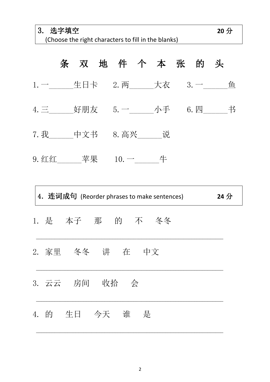(Choose the right characters to fill in the blanks)